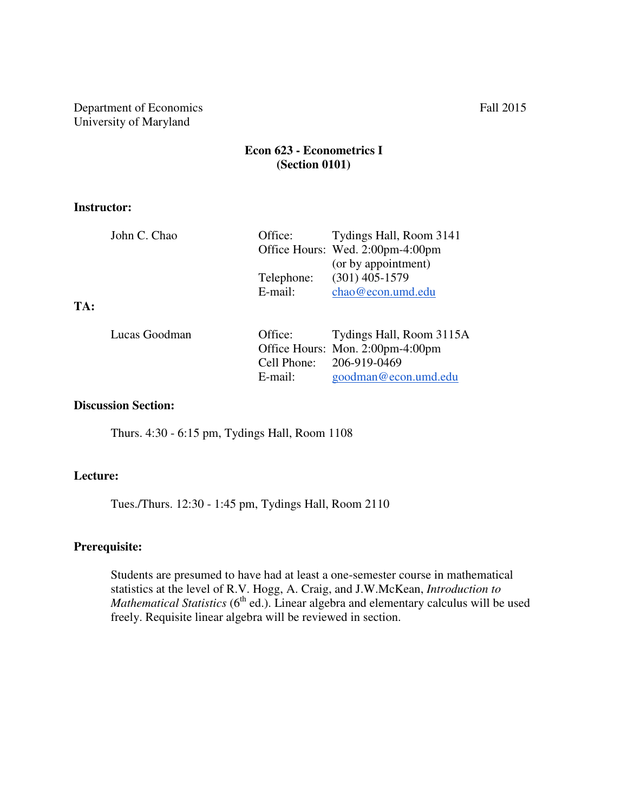Department of Economics Fall 2015 University of Maryland

# **Econ 623 - Econometrics I (Section 0101)**

#### **Instructor:**

|     | John C. Chao  | Office:     | Tydings Hall, Room 3141          |
|-----|---------------|-------------|----------------------------------|
|     |               |             | Office Hours: Wed. 2:00pm-4:00pm |
|     |               |             | (or by appointment)              |
|     |               | Telephone:  | $(301)$ 405-1579                 |
|     |               | $E$ -mail:  | chao@econ.umd.edu                |
| TA: |               |             |                                  |
|     | Lucas Goodman | Office:     | Tydings Hall, Room 3115A         |
|     |               |             |                                  |
|     |               |             | Office Hours: Mon. 2:00pm-4:00pm |
|     |               | Cell Phone: | 206-919-0469                     |
|     |               | E-mail:     | goodman@econ.umd.edu             |

### **Discussion Section:**

Thurs. 4:30 - 6:15 pm, Tydings Hall, Room 1108

# **Lecture:**

Tues./Thurs. 12:30 - 1:45 pm, Tydings Hall, Room 2110

# **Prerequisite:**

Students are presumed to have had at least a one-semester course in mathematical statistics at the level of R.V. Hogg, A. Craig, and J.W.McKean, *Introduction to Mathematical Statistics* (6<sup>th</sup> ed.). Linear algebra and elementary calculus will be used freely. Requisite linear algebra will be reviewed in section.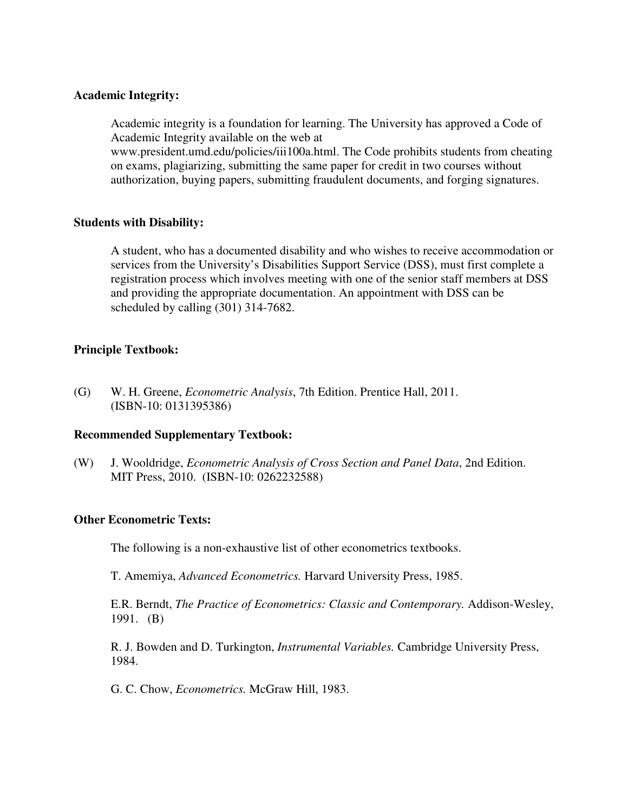### **Academic Integrity:**

Academic integrity is a foundation for learning. The University has approved a Code of Academic Integrity available on the web at

www.president.umd.edu/policies/iii100a.html. The Code prohibits students from cheating on exams, plagiarizing, submitting the same paper for credit in two courses without authorization, buying papers, submitting fraudulent documents, and forging signatures.

#### **Students with Disability:**

A student, who has a documented disability and who wishes to receive accommodation or services from the University's Disabilities Support Service (DSS), must first complete a registration process which involves meeting with one of the senior staff members at DSS and providing the appropriate documentation. An appointment with DSS can be scheduled by calling (301) 314-7682.

## **Principle Textbook:**

(G) W. H. Greene, *Econometric Analysis*, 7th Edition. Prentice Hall, 2011. (ISBN-10: 0131395386)

## **Recommended Supplementary Textbook:**

(W) J. Wooldridge, *Econometric Analysis of Cross Section and Panel Data*, 2nd Edition. MIT Press, 2010. (ISBN-10: 0262232588)

## **Other Econometric Texts:**

The following is a non-exhaustive list of other econometrics textbooks.

T. Amemiya, *Advanced Econometrics.* Harvard University Press, 1985.

 E.R. Berndt, *The Practice of Econometrics: Classic and Contemporary.* Addison-Wesley, 1991. (B)

R. J. Bowden and D. Turkington, *Instrumental Variables.* Cambridge University Press, 1984.

G. C. Chow, *Econometrics.* McGraw Hill, 1983.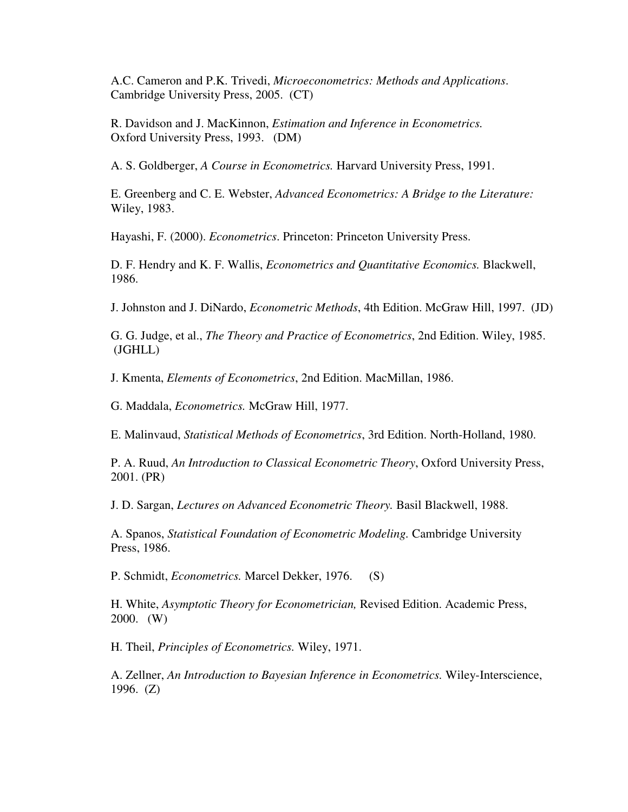A.C. Cameron and P.K. Trivedi, *Microeconometrics: Methods and Applications*. Cambridge University Press, 2005. (CT)

 R. Davidson and J. MacKinnon, *Estimation and Inference in Econometrics.*  Oxford University Press, 1993. (DM)

A. S. Goldberger, *A Course in Econometrics.* Harvard University Press, 1991.

E. Greenberg and C. E. Webster, *Advanced Econometrics: A Bridge to the Literature:*  Wiley, 1983.

Hayashi, F. (2000). *Econometrics*. Princeton: Princeton University Press.

D. F. Hendry and K. F. Wallis, *Econometrics and Quantitative Economics.* Blackwell, 1986.

J. Johnston and J. DiNardo, *Econometric Methods*, 4th Edition. McGraw Hill, 1997. (JD)

 G. G. Judge, et al., *The Theory and Practice of Econometrics*, 2nd Edition. Wiley, 1985. (JGHLL)

J. Kmenta, *Elements of Econometrics*, 2nd Edition. MacMillan, 1986.

G. Maddala, *Econometrics.* McGraw Hill, 1977.

E. Malinvaud, *Statistical Methods of Econometrics*, 3rd Edition. North-Holland, 1980.

P. A. Ruud, *An Introduction to Classical Econometric Theory*, Oxford University Press, 2001. (PR)

J. D. Sargan, *Lectures on Advanced Econometric Theory.* Basil Blackwell, 1988.

A. Spanos, *Statistical Foundation of Econometric Modeling.* Cambridge University Press, 1986.

P. Schmidt, *Econometrics.* Marcel Dekker, 1976. (S)

H. White, *Asymptotic Theory for Econometrician,* Revised Edition. Academic Press, 2000. (W)

H. Theil, *Principles of Econometrics.* Wiley, 1971.

A. Zellner, *An Introduction to Bayesian Inference in Econometrics.* Wiley-Interscience, 1996. (Z)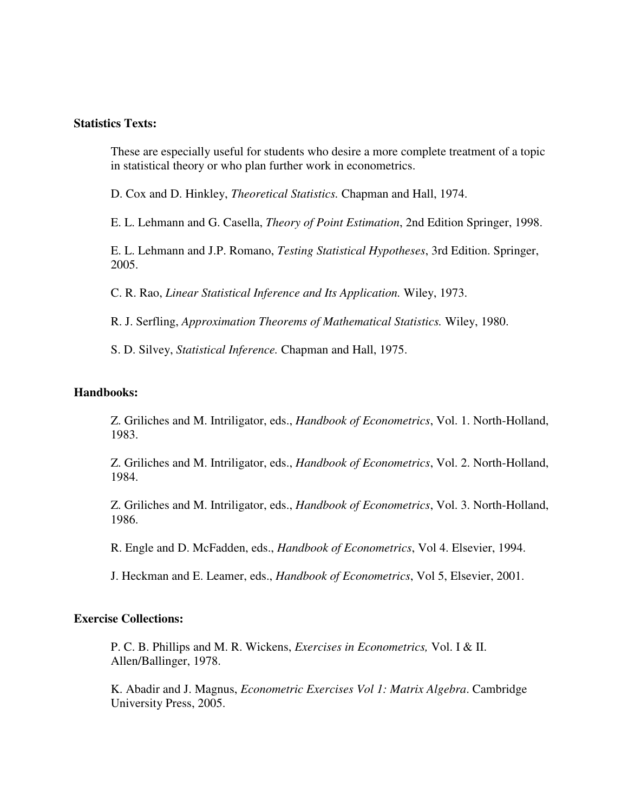#### **Statistics Texts:**

These are especially useful for students who desire a more complete treatment of a topic in statistical theory or who plan further work in econometrics.

D. Cox and D. Hinkley, *Theoretical Statistics.* Chapman and Hall, 1974.

E. L. Lehmann and G. Casella, *Theory of Point Estimation*, 2nd Edition Springer, 1998.

E. L. Lehmann and J.P. Romano, *Testing Statistical Hypotheses*, 3rd Edition. Springer, 2005.

C. R. Rao, *Linear Statistical Inference and Its Application.* Wiley, 1973.

R. J. Serfling, *Approximation Theorems of Mathematical Statistics.* Wiley, 1980.

S. D. Silvey, *Statistical Inference.* Chapman and Hall, 1975.

#### **Handbooks:**

Z. Griliches and M. Intriligator, eds., *Handbook of Econometrics*, Vol. 1. North-Holland, 1983.

Z. Griliches and M. Intriligator, eds., *Handbook of Econometrics*, Vol. 2. North-Holland, 1984.

Z. Griliches and M. Intriligator, eds., *Handbook of Econometrics*, Vol. 3. North-Holland, 1986.

R. Engle and D. McFadden, eds., *Handbook of Econometrics*, Vol 4. Elsevier, 1994.

J. Heckman and E. Leamer, eds., *Handbook of Econometrics*, Vol 5, Elsevier, 2001.

#### **Exercise Collections:**

P. C. B. Phillips and M. R. Wickens, *Exercises in Econometrics,* Vol. I & II. Allen/Ballinger, 1978.

K. Abadir and J. Magnus, *Econometric Exercises Vol 1: Matrix Algebra*. Cambridge University Press, 2005.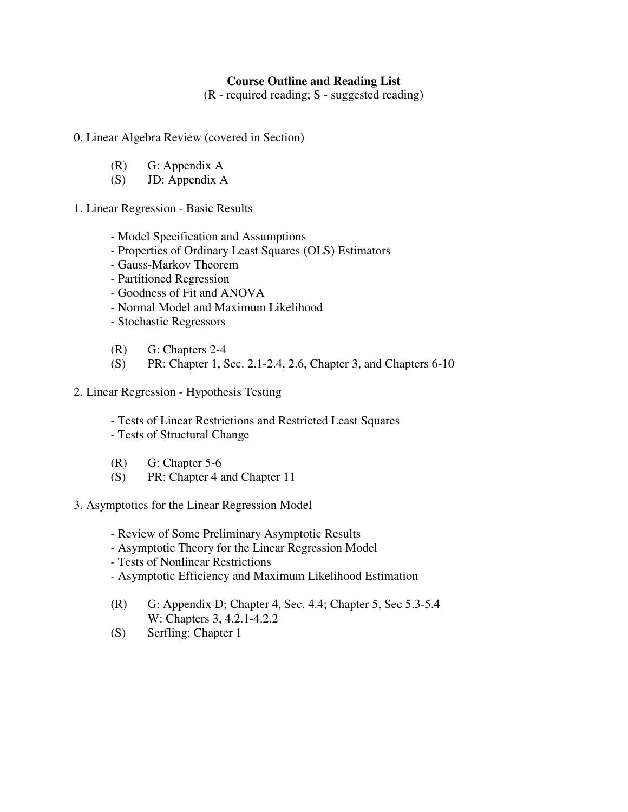# **Course Outline and Reading List**

(R - required reading; S - suggested reading)

0. Linear Algebra Review (covered in Section)

- (R) G: Appendix A
- (S) JD: Appendix A
- 1. Linear Regression Basic Results
	- Model Specification and Assumptions
	- Properties of Ordinary Least Squares (OLS) Estimators
	- Gauss-Markov Theorem
	- Partitioned Regression
	- Goodness of Fit and ANOVA
	- Normal Model and Maximum Likelihood
	- Stochastic Regressors
	- (R) G: Chapters 2-4
	- (S) PR: Chapter 1, Sec. 2.1-2.4, 2.6, Chapter 3, and Chapters 6-10
- 2. Linear Regression Hypothesis Testing
	- Tests of Linear Restrictions and Restricted Least Squares
	- Tests of Structural Change
	- (R) G: Chapter 5-6
	- (S) PR: Chapter 4 and Chapter 11
- 3. Asymptotics for the Linear Regression Model
	- Review of Some Preliminary Asymptotic Results
	- Asymptotic Theory for the Linear Regression Model
	- Tests of Nonlinear Restrictions
	- Asymptotic Efficiency and Maximum Likelihood Estimation
	- (R) G: Appendix D; Chapter 4, Sec. 4.4; Chapter 5, Sec 5.3-5.4 W: Chapters 3, 4.2.1-4.2.2
	- (S) Serfling: Chapter 1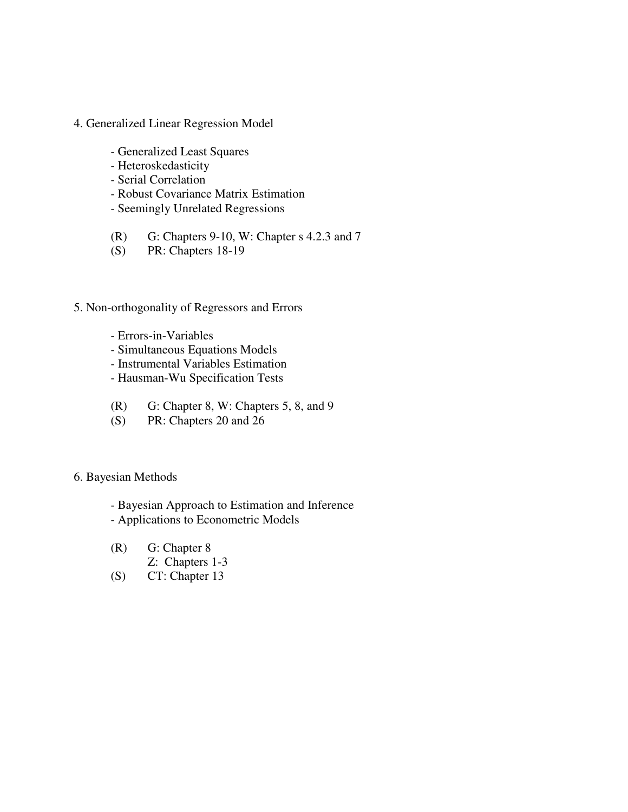- 4. Generalized Linear Regression Model
	- Generalized Least Squares
	- Heteroskedasticity
	- Serial Correlation
	- Robust Covariance Matrix Estimation
	- Seemingly Unrelated Regressions
	- (R) G: Chapters 9-10, W: Chapter s 4.2.3 and 7
	- (S) PR: Chapters 18-19

## 5. Non-orthogonality of Regressors and Errors

- Errors-in-Variables
- Simultaneous Equations Models
- Instrumental Variables Estimation
- Hausman-Wu Specification Tests
- (R) G: Chapter 8, W: Chapters 5, 8, and 9
- (S) PR: Chapters 20 and 26

#### 6. Bayesian Methods

- Bayesian Approach to Estimation and Inference
- Applications to Econometric Models
- (R) G: Chapter 8
	- Z: Chapters 1-3
- (S) CT: Chapter 13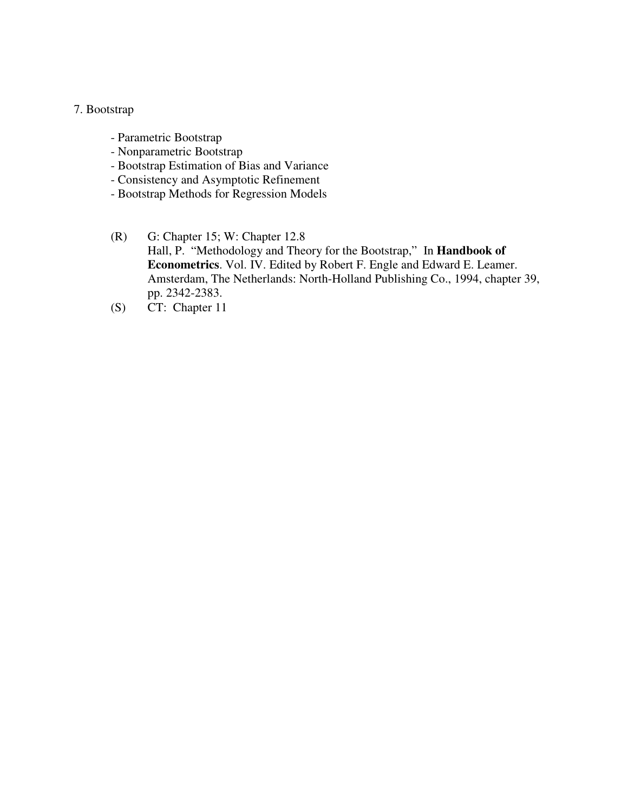#### 7. Bootstrap

- Parametric Bootstrap
- Nonparametric Bootstrap
- Bootstrap Estimation of Bias and Variance
- Consistency and Asymptotic Refinement
- Bootstrap Methods for Regression Models
- (R) G: Chapter 15; W: Chapter 12.8 Hall, P. "Methodology and Theory for the Bootstrap," In **Handbook of Econometrics**. Vol. IV. Edited by Robert F. Engle and Edward E. Leamer. Amsterdam, The Netherlands: North-Holland Publishing Co., 1994, chapter 39, pp. 2342-2383.
- (S) CT: Chapter 11